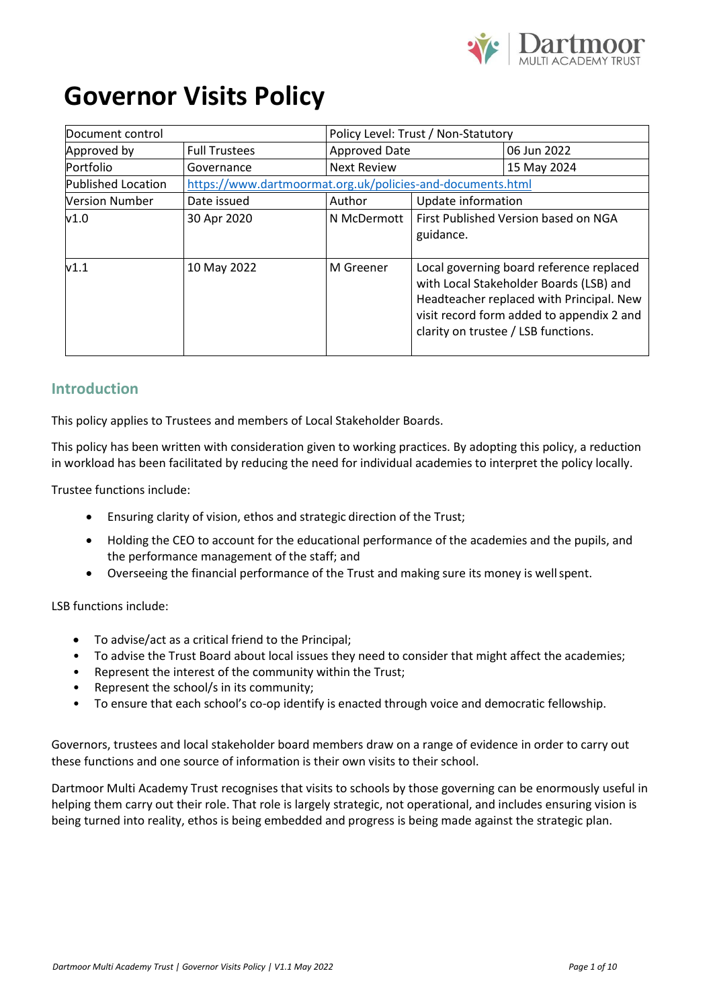

# **Governor Visits Policy**

| Document control          |                      | Policy Level: Trust / Non-Statutory                        |                                                                                                                                                                                                                     |                                      |
|---------------------------|----------------------|------------------------------------------------------------|---------------------------------------------------------------------------------------------------------------------------------------------------------------------------------------------------------------------|--------------------------------------|
| Approved by               | <b>Full Trustees</b> | <b>Approved Date</b>                                       |                                                                                                                                                                                                                     | 06 Jun 2022                          |
| <b>Portfolio</b>          | Governance           | <b>Next Review</b>                                         |                                                                                                                                                                                                                     | 15 May 2024                          |
| <b>Published Location</b> |                      | https://www.dartmoormat.org.uk/policies-and-documents.html |                                                                                                                                                                                                                     |                                      |
| <b>Version Number</b>     | Date issued          | Update information<br>Author                               |                                                                                                                                                                                                                     |                                      |
| v1.0                      | 30 Apr 2020          | N McDermott                                                | guidance.                                                                                                                                                                                                           | First Published Version based on NGA |
| V1.1                      | 10 May 2022          | M Greener                                                  | Local governing board reference replaced<br>with Local Stakeholder Boards (LSB) and<br>Headteacher replaced with Principal. New<br>visit record form added to appendix 2 and<br>clarity on trustee / LSB functions. |                                      |

#### **Introduction**

This policy applies to Trustees and members of Local Stakeholder Boards.

This policy has been written with consideration given to working practices. By adopting this policy, a reduction in workload has been facilitated by reducing the need for individual academies to interpret the policy locally.

Trustee functions include:

- Ensuring clarity of vision, ethos and strategic direction of the Trust;
- Holding the CEO to account for the educational performance of the academies and the pupils, and the performance management of the staff; and
- Overseeing the financial performance of the Trust and making sure its money is wellspent.

#### LSB functions include:

- To advise/act as a critical friend to the Principal;
- To advise the Trust Board about local issues they need to consider that might affect the academies;
- Represent the interest of the community within the Trust;
- Represent the school/s in its community;
- To ensure that each school's co-op identify is enacted through voice and democratic fellowship.

Governors, trustees and local stakeholder board members draw on a range of evidence in order to carry out these functions and one source of information is their own visits to their school.

Dartmoor Multi Academy Trust recognises that visits to schools by those governing can be enormously useful in helping them carry out their role. That role is largely strategic, not operational, and includes ensuring vision is being turned into reality, ethos is being embedded and progress is being made against the strategic plan.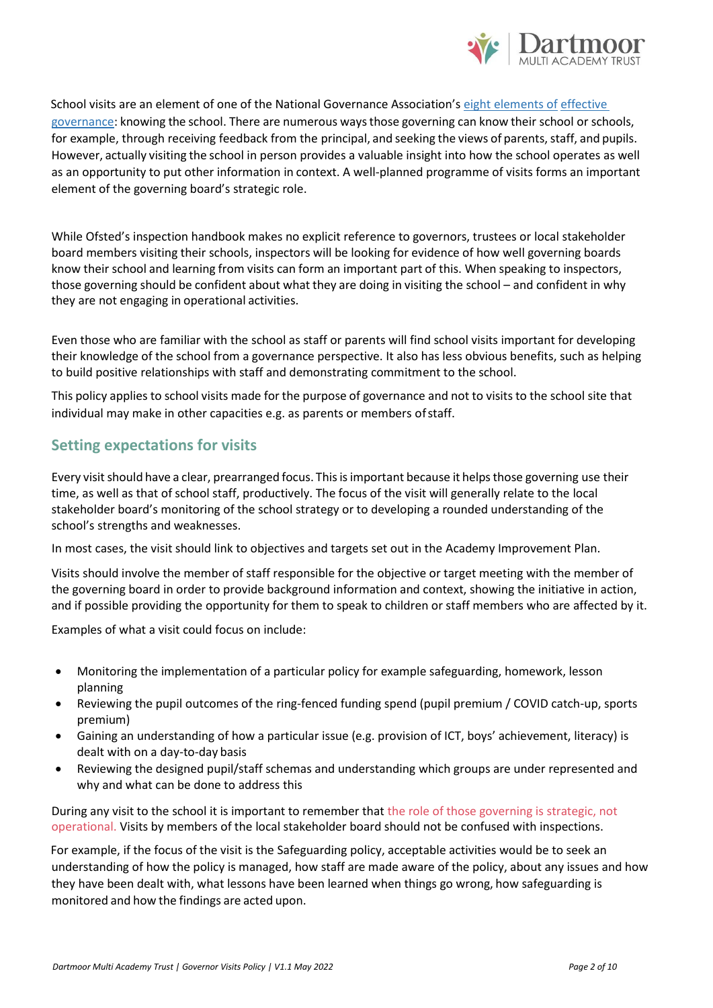

School visits are an element of one of the National Governance Association's [eight elements of](http://www.nga.org.uk/Guidance/Workings-Of-The-Governing-Body/Governance-Tools/Eight-Elements-of-Effective-Governance.aspx) [effective](http://www.nga.org.uk/Guidance/Workings-Of-The-Governing-Body/Governance-Tools/Eight-Elements-of-Effective-Governance.aspx) [governance:](http://www.nga.org.uk/Guidance/Workings-Of-The-Governing-Body/Governance-Tools/Eight-Elements-of-Effective-Governance.aspx) knowing the school. There are numerous waysthose governing can know their school or schools, for example, through receiving feedback from the principal, and seeking the views of parents, staff, and pupils. However, actually visiting the school in person provides a valuable insight into how the school operates as well as an opportunity to put other information in context. A well-planned programme of visits forms an important element of the governing board's strategic role.

While Ofsted's inspection handbook makes no explicit reference to governors, trustees or local stakeholder board members visiting their schools, inspectors will be looking for evidence of how well governing boards know their school and learning from visits can form an important part of this. When speaking to inspectors, those governing should be confident about what they are doing in visiting the school – and confident in why they are not engaging in operational activities.

Even those who are familiar with the school as staff or parents will find school visits important for developing their knowledge of the school from a governance perspective. It also has less obvious benefits, such as helping to build positive relationships with staff and demonstrating commitment to the school.

This policy applies to school visits made for the purpose of governance and not to visits to the school site that individual may make in other capacities e.g. as parents or members ofstaff.

#### **Setting expectations for visits**

Every visit should have a clear, prearranged focus. This is important because it helps those governing use their time, as well as that of school staff, productively. The focus of the visit will generally relate to the local stakeholder board's monitoring of the school strategy or to developing a rounded understanding of the school's strengths and weaknesses.

In most cases, the visit should link to objectives and targets set out in the Academy Improvement Plan.

Visits should involve the member of staff responsible for the objective or target meeting with the member of the governing board in order to provide background information and context, showing the initiative in action, and if possible providing the opportunity for them to speak to children or staff members who are affected by it.

Examples of what a visit could focus on include:

- Monitoring the implementation of a particular policy for example safeguarding, homework, lesson planning
- Reviewing the pupil outcomes of the ring-fenced funding spend (pupil premium / COVID catch-up, sports premium)
- Gaining an understanding of how a particular issue (e.g. provision of ICT, boys' achievement, literacy) is dealt with on a day-to-day basis
- Reviewing the designed pupil/staff schemas and understanding which groups are under represented and why and what can be done to address this

During any visit to the school it is important to remember that the role of those governing is strategic, not operational. Visits by members of the local stakeholder board should not be confused with inspections.

For example, if the focus of the visit is the Safeguarding policy, acceptable activities would be to seek an understanding of how the policy is managed, how staff are made aware of the policy, about any issues and how they have been dealt with, what lessons have been learned when things go wrong, how safeguarding is monitored and how the findings are acted upon.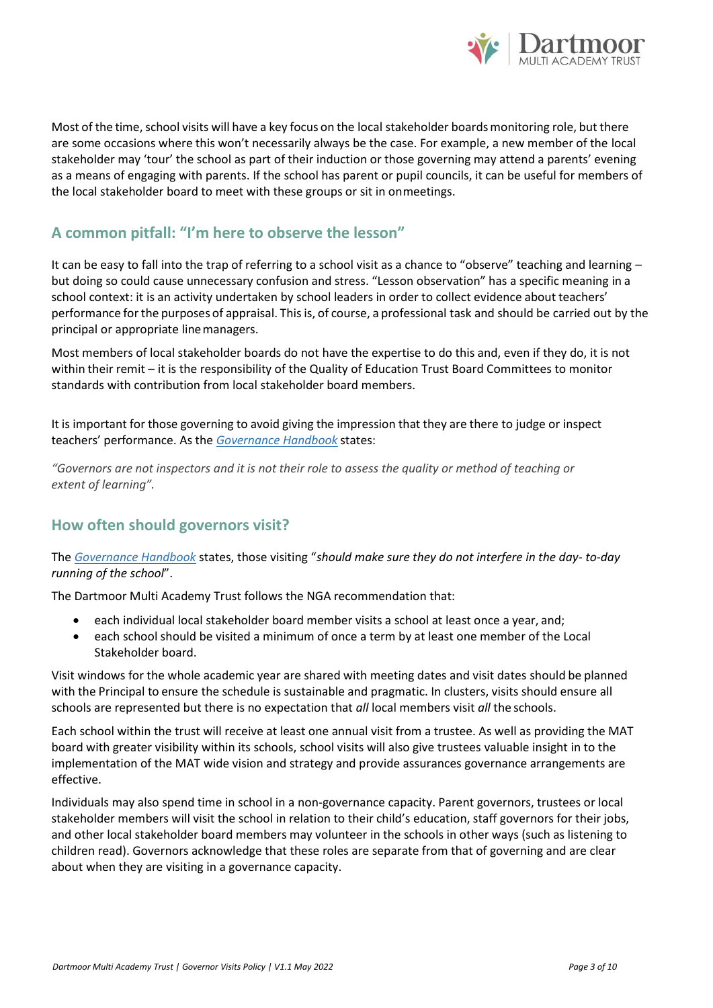

Most of the time, school visits will have a key focus on the local stakeholder boards monitoring role, but there are some occasions where this won't necessarily always be the case. For example, a new member of the local stakeholder may 'tour' the school as part of their induction or those governing may attend a parents' evening as a means of engaging with parents. If the school has parent or pupil councils, it can be useful for members of the local stakeholder board to meet with these groups or sit in onmeetings.

# **A common pitfall: "I'm here to observe the lesson"**

It can be easy to fall into the trap of referring to a school visit as a chance to "observe" teaching and learning – but doing so could cause unnecessary confusion and stress. "Lesson observation" has a specific meaning in a school context: it is an activity undertaken by school leaders in order to collect evidence about teachers' performance forthe purposes of appraisal. Thisis, of course, a professional task and should be carried out by the principal or appropriate linemanagers.

Most members of local stakeholder boards do not have the expertise to do this and, even if they do, it is not within their remit – it is the responsibility of the Quality of Education Trust Board Committees to monitor standards with contribution from local stakeholder board members.

It is important for those governing to avoid giving the impression that they are there to judge or inspect teachers' performance. As the *[Governance Handbook](https://www.gov.uk/government/publications/governance-handbook)* states:

*"Governors are not inspectors and it is not their role to assess the quality or method of teaching or extent of learning".*

## **How often should governors visit?**

The *[Governance Handbook](https://www.gov.uk/government/publications/governance-handbook)* states, those visiting "*should make sure they do not interfere in the day- to-day running of the school*".

The Dartmoor Multi Academy Trust follows the NGA recommendation that:

- each individual local stakeholder board member visits a school at least once a year, and;
- each school should be visited a minimum of once a term by at least one member of the Local Stakeholder board.

Visit windows for the whole academic year are shared with meeting dates and visit dates should be planned with the Principal to ensure the schedule is sustainable and pragmatic. In clusters, visits should ensure all schools are represented but there is no expectation that *all* local members visit *all* the schools.

Each school within the trust will receive at least one annual visit from a trustee. As well as providing the MAT board with greater visibility within its schools, school visits will also give trustees valuable insight in to the implementation of the MAT wide vision and strategy and provide assurances governance arrangements are effective.

Individuals may also spend time in school in a non-governance capacity. Parent governors, trustees or local stakeholder members will visit the school in relation to their child's education, staff governors for their jobs, and other local stakeholder board members may volunteer in the schools in other ways (such as listening to children read). Governors acknowledge that these roles are separate from that of governing and are clear about when they are visiting in a governance capacity.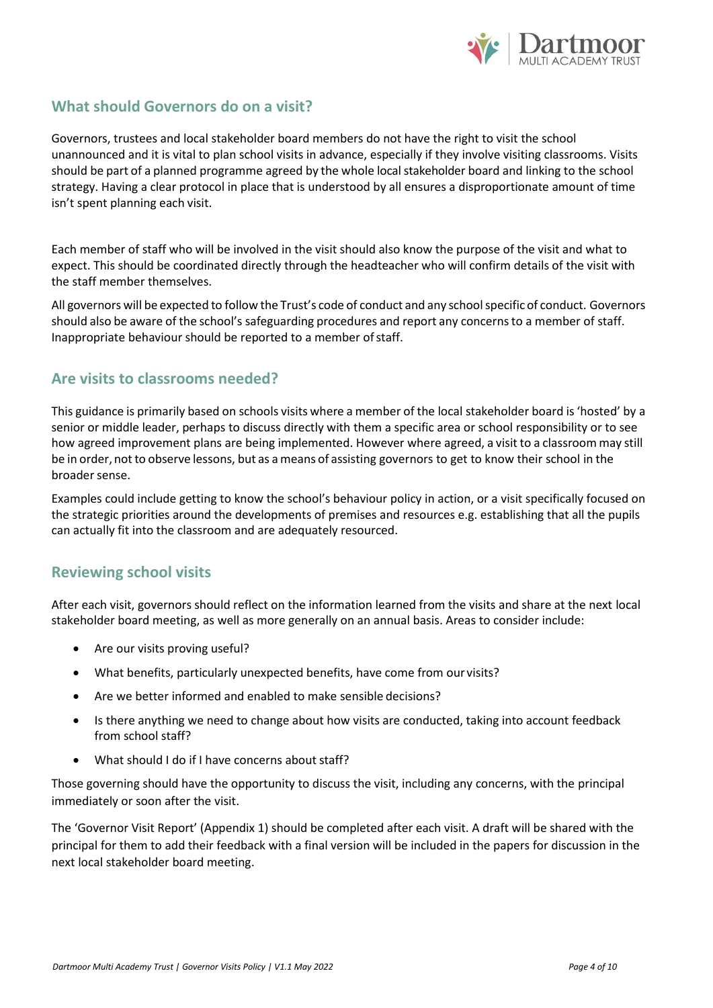

# **What should Governors do on a visit?**

Governors, trustees and local stakeholder board members do not have the right to visit the school unannounced and it is vital to plan school visits in advance, especially if they involve visiting classrooms. Visits should be part of a planned programme agreed by the whole local stakeholder board and linking to the school strategy. Having a clear protocol in place that is understood by all ensures a disproportionate amount of time isn't spent planning each visit.

Each member of staff who will be involved in the visit should also know the purpose of the visit and what to expect. This should be coordinated directly through the headteacher who will confirm details of the visit with the staff member themselves.

All governors will be expected to follow the Trust's code of conduct and any schoolspecific of conduct. Governors should also be aware of the school's safeguarding procedures and report any concernsto a member of staff. Inappropriate behaviour should be reported to a member ofstaff.

#### **Are visits to classrooms needed?**

This guidance is primarily based on schools visits where a member of the local stakeholder board is'hosted' by a senior or middle leader, perhaps to discuss directly with them a specific area or school responsibility or to see how agreed improvement plans are being implemented. However where agreed, a visit to a classroom may still be in order, not to observe lessons, but as a means of assisting governors to get to know their school in the broader sense.

Examples could include getting to know the school's behaviour policy in action, or a visit specifically focused on the strategic priorities around the developments of premises and resources e.g. establishing that all the pupils can actually fit into the classroom and are adequately resourced.

## **Reviewing school visits**

After each visit, governors should reflect on the information learned from the visits and share at the next local stakeholder board meeting, as well as more generally on an annual basis. Areas to consider include:

- Are our visits proving useful?
- What benefits, particularly unexpected benefits, have come from our visits?
- Are we better informed and enabled to make sensible decisions?
- Is there anything we need to change about how visits are conducted, taking into account feedback from school staff?
- What should I do if I have concerns about staff?

Those governing should have the opportunity to discuss the visit, including any concerns, with the principal immediately or soon after the visit.

The 'Governor Visit Report' (Appendix 1) should be completed after each visit. A draft will be shared with the principal for them to add their feedback with a final version will be included in the papers for discussion in the next local stakeholder board meeting.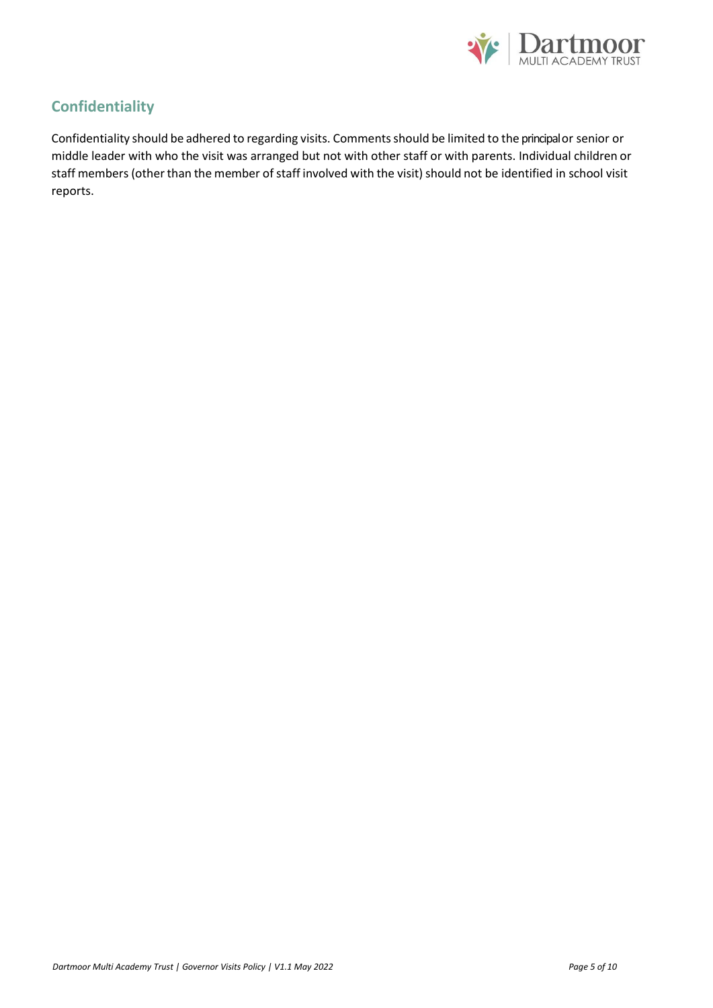

# **Confidentiality**

Confidentiality should be adhered to regarding visits. Commentsshould be limited to the principal or senior or middle leader with who the visit was arranged but not with other staff or with parents. Individual children or staff members (other than the member of staff involved with the visit) should not be identified in school visit reports.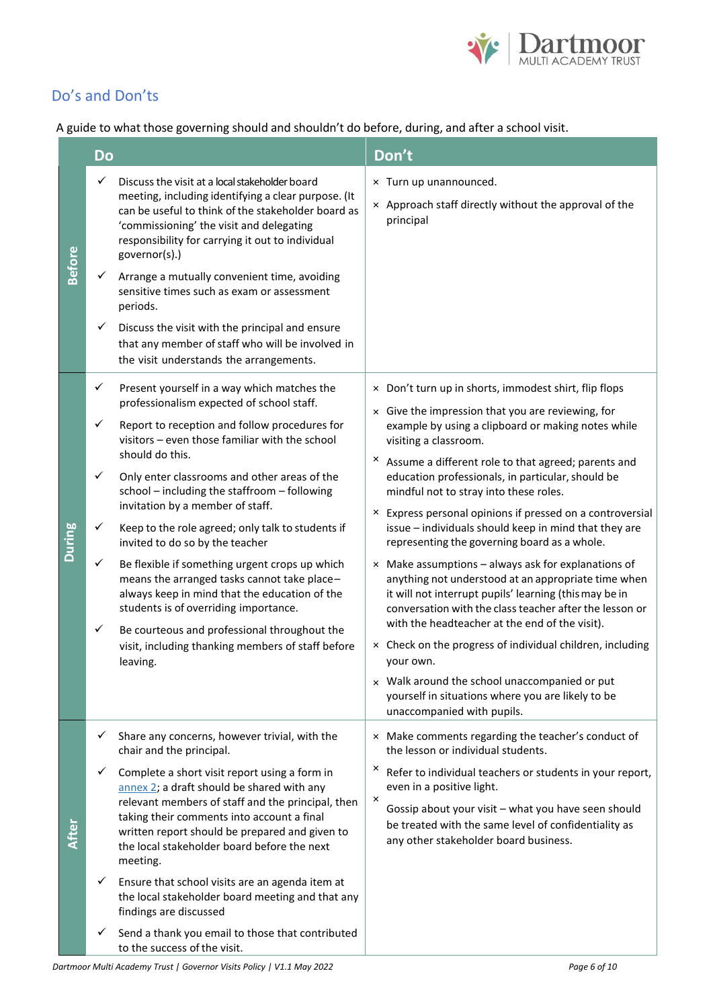

# Do's and Don'ts

A guide to what those governing should and shouldn't do before, during, and after a school visit.

|               | <b>Do</b>    |                                                                                                                                                                                                                                                                                                             | Don't                                                                                                                                                                                                                                                                                               |  |  |
|---------------|--------------|-------------------------------------------------------------------------------------------------------------------------------------------------------------------------------------------------------------------------------------------------------------------------------------------------------------|-----------------------------------------------------------------------------------------------------------------------------------------------------------------------------------------------------------------------------------------------------------------------------------------------------|--|--|
| <b>Before</b> | $\checkmark$ | Discuss the visit at a local stakeholder board<br>meeting, including identifying a clear purpose. (It<br>can be useful to think of the stakeholder board as<br>'commissioning' the visit and delegating<br>responsibility for carrying it out to individual<br>governor(s).)                                | × Turn up unannounced.<br>x Approach staff directly without the approval of the<br>principal                                                                                                                                                                                                        |  |  |
|               | $\checkmark$ | Arrange a mutually convenient time, avoiding<br>sensitive times such as exam or assessment<br>periods.                                                                                                                                                                                                      |                                                                                                                                                                                                                                                                                                     |  |  |
|               | $\checkmark$ | Discuss the visit with the principal and ensure<br>that any member of staff who will be involved in<br>the visit understands the arrangements.                                                                                                                                                              |                                                                                                                                                                                                                                                                                                     |  |  |
|               | ✓            | Present yourself in a way which matches the<br>professionalism expected of school staff.                                                                                                                                                                                                                    | × Don't turn up in shorts, immodest shirt, flip flops                                                                                                                                                                                                                                               |  |  |
|               | ✓            | Report to reception and follow procedures for<br>visitors - even those familiar with the school<br>should do this.<br>Only enter classrooms and other areas of the<br>school - including the staffroom - following<br>invitation by a member of staff.                                                      | x Give the impression that you are reviewing, for<br>example by using a clipboard or making notes while<br>visiting a classroom.<br><sup>×</sup> Assume a different role to that agreed; parents and<br>education professionals, in particular, should be<br>mindful not to stray into these roles. |  |  |
|               | ✓            |                                                                                                                                                                                                                                                                                                             |                                                                                                                                                                                                                                                                                                     |  |  |
| <b>During</b> | ✓            | Keep to the role agreed; only talk to students if<br>invited to do so by the teacher                                                                                                                                                                                                                        | × Express personal opinions if pressed on a controversial<br>issue - individuals should keep in mind that they are<br>representing the governing board as a whole.                                                                                                                                  |  |  |
|               | $\checkmark$ | Be flexible if something urgent crops up which<br>means the arranged tasks cannot take place-<br>always keep in mind that the education of the<br>students is of overriding importance.                                                                                                                     | $\times$ Make assumptions – always ask for explanations of<br>anything not understood at an appropriate time when<br>it will not interrupt pupils' learning (this may be in<br>conversation with the class teacher after the lesson or<br>with the headteacher at the end of the visit).            |  |  |
|               | ✓            | Be courteous and professional throughout the<br>visit, including thanking members of staff before<br>leaving.                                                                                                                                                                                               | × Check on the progress of individual children, including<br>your own.                                                                                                                                                                                                                              |  |  |
|               |              |                                                                                                                                                                                                                                                                                                             | x Walk around the school unaccompanied or put<br>yourself in situations where you are likely to be<br>unaccompanied with pupils.                                                                                                                                                                    |  |  |
|               | ✓            | Share any concerns, however trivial, with the<br>chair and the principal.                                                                                                                                                                                                                                   | × Make comments regarding the teacher's conduct of<br>the lesson or individual students.                                                                                                                                                                                                            |  |  |
| After         | $\checkmark$ | Complete a short visit report using a form in<br>annex 2; a draft should be shared with any<br>relevant members of staff and the principal, then<br>taking their comments into account a final<br>written report should be prepared and given to<br>the local stakeholder board before the next<br>meeting. | ×<br>Refer to individual teachers or students in your report,<br>even in a positive light.<br>×<br>Gossip about your visit - what you have seen should<br>be treated with the same level of confidentiality as<br>any other stakeholder board business.                                             |  |  |
|               |              | Ensure that school visits are an agenda item at<br>the local stakeholder board meeting and that any<br>findings are discussed                                                                                                                                                                               |                                                                                                                                                                                                                                                                                                     |  |  |
|               |              | Send a thank you email to those that contributed<br>to the success of the visit.                                                                                                                                                                                                                            |                                                                                                                                                                                                                                                                                                     |  |  |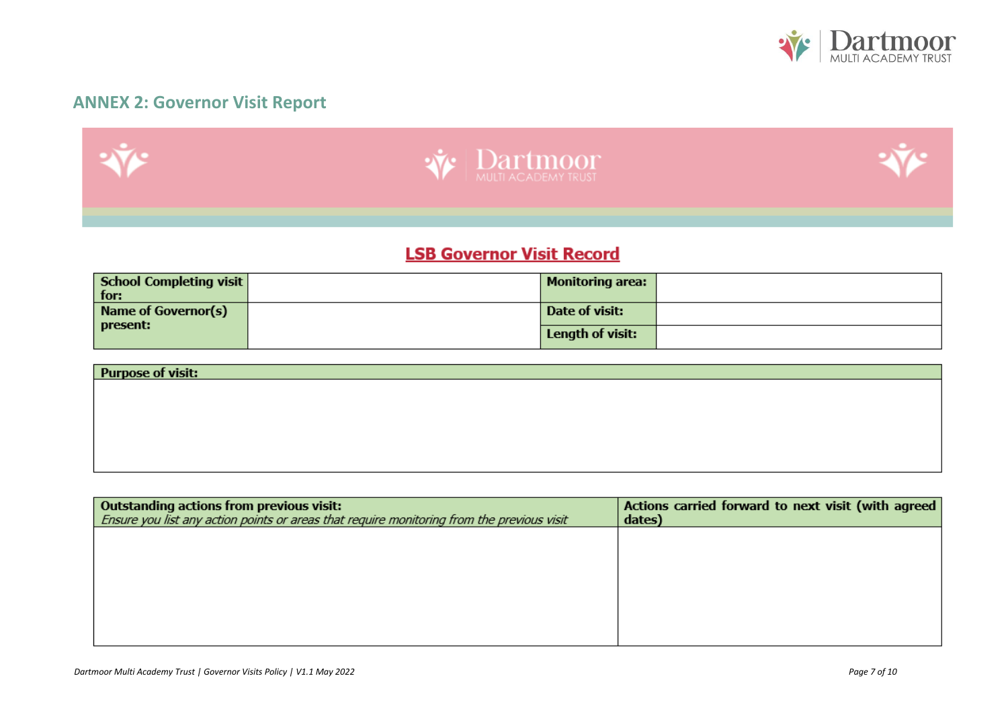

# **ANNEX 2: Governor Visit Report**



# **LSB Governor Visit Record**

| School Completing visit | <b>Monitoring area:</b> |  |
|-------------------------|-------------------------|--|
| for:                    |                         |  |
| Name of Governor(s)     | Date of visit:          |  |
| present:                | Length of visit:        |  |

| <b>Purpose of visit:</b> |  |  |
|--------------------------|--|--|
|                          |  |  |
|                          |  |  |
|                          |  |  |
|                          |  |  |
|                          |  |  |

| Outstanding actions from previous visit:                                                   | Actions carried forward to next visit (with agreed |
|--------------------------------------------------------------------------------------------|----------------------------------------------------|
| Ensure you list any action points or areas that require monitoring from the previous visit | dates)                                             |
|                                                                                            |                                                    |
|                                                                                            |                                                    |
|                                                                                            |                                                    |
|                                                                                            |                                                    |
|                                                                                            |                                                    |
|                                                                                            |                                                    |
|                                                                                            |                                                    |
|                                                                                            |                                                    |
|                                                                                            |                                                    |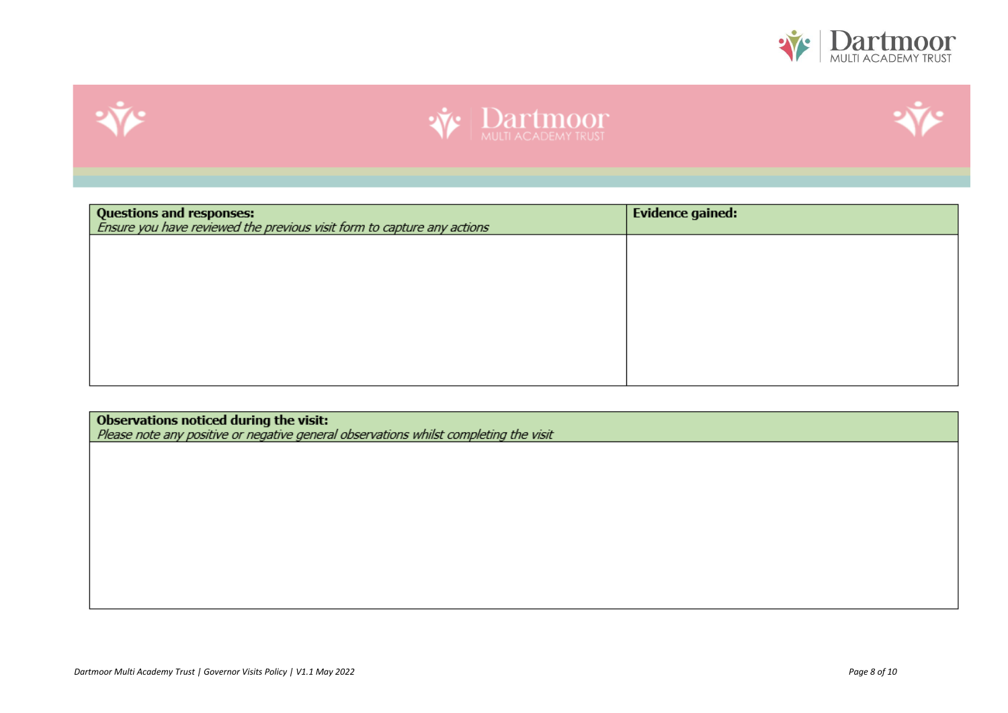







| <b>Questions and responses:</b><br>Ensure you have reviewed the previous visit form to capture any actions | <b>Evidence gained:</b> |
|------------------------------------------------------------------------------------------------------------|-------------------------|
|                                                                                                            |                         |
|                                                                                                            |                         |
|                                                                                                            |                         |
|                                                                                                            |                         |
|                                                                                                            |                         |

Observations noticed during the visit:<br>Please note any positive or negative general observations whilst completing the visit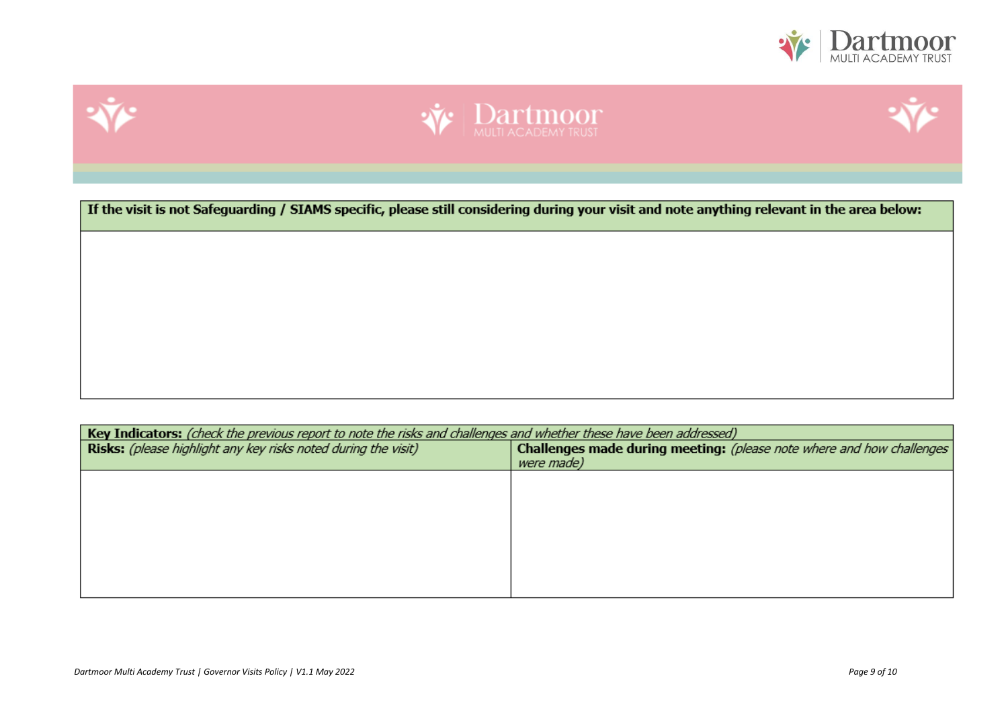







Key Indicators: (check the previous report to note the risks and challenges and whether these have been addressed) Challenges made during meeting: (please note where and how challenges Risks: (please highlight any key risks noted during the visit) were made)